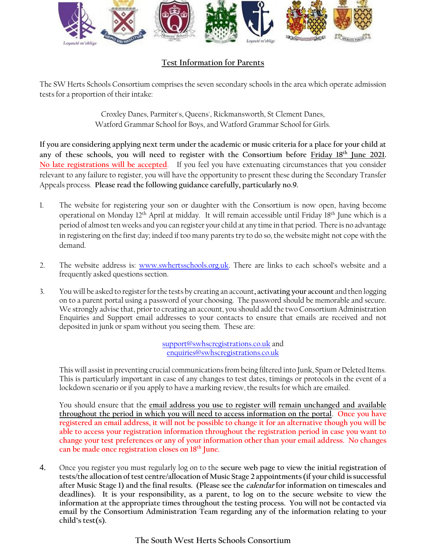

## **Test Information for Parents**

The SW Herts Schools Consortium comprises the seven secondary schools in the area which operate admission tests for a proportion of their intake:

> Croxley Danes, Parmiter's, Queens', Rickmansworth, St Clement Danes, Watford Grammar School for Boys, and Watford Grammar School for Girls.

**If you are considering applying next term under the academic or music criteria for a place for your child at**  any of these schools, you will need to register with the Consortium before Friday 18<sup>th</sup> June 2021. **No late registrations will be accepted**. If you feel you have extenuating circumstances that you consider relevant to any failure to register, you will have the opportunity to present these during the Secondary Transfer Appeals process. **Please read the following guidance carefully, particularly no.9.**

- 1. The website for registering your son or daughter with the Consortium is now open, having become operational on Monday 12<sup>th</sup> April at midday. It will remain accessible until Friday 18<sup>th</sup> June which is a period of almost ten weeks and you can register your child at any time in that period. There is no advantage in registering on the first day; indeed if too many parents try to do so, the website might not cope with the demand.
- 2. The website address is: [www.swhertsschools.org.uk.](https://amxprd0310.outlook.com/owa/redir.aspx?C=oUnGPQtMfk60ZrIq5z8iv0o0dN0TAs8IXy9uUK3FeUX_MSaoH9QINgZzUP5t2jUvtTQkC_N0vyc.&URL=http%3a%2f%2fwww.swhertsschools.org.uk) There are links to each school's website and a frequently asked questions section.
- 3. You will be asked to register for the tests by creating an account**, activating your account** and then logging on to a parent portal using a password of your choosing. The password should be memorable and secure. We strongly advise that, prior to creating an account, you should add the two Consortium Administration Enquiries and Support email addresses to your contacts to ensure that emails are received and not deposited in junk or spam without you seeing them. These are:

[support@swhscregistrations.co.uk](mailto:support@swhscregistrations.co.uk) and [enquiries@swhscregistrations.co.uk](mailto:enquiries@swhscregistrations.co.uk)

This will assist in preventing crucial communications from being filtered into Junk, Spam or Deleted Items. This is particularly important in case of any changes to test dates, timings or protocols in the event of a lockdown scenario or if you apply to have a marking review, the results for which are emailed.

You should ensure that the **email address you use to register will remain unchanged and available throughout the period in which you will need to access information on the portal**. **Once you have registered an email address, it will not be possible to change it for an alternative though you will be able to access your registration information throughout the registration period in case you want to change your test preferences or any of your information other than your email address. No changes can be made once registration closes on 18th June.**

4. Once you register you must regularly log on to the **secure web page to view the initial registration of tests/the allocation of test centre/allocation of Music Stage 2 appointments (if your child is successful after Music Stage 1) and the final results. (Please see the calendar for information on timescales and deadlines). It is your responsibility, as a parent, to log on to the secure website to view the information at the appropriate times throughout the testing process. You will not be contacted via email by the Consortium Administration Team regarding any of the information relating to your child's test(s).**

**The South West Herts Schools Consortium**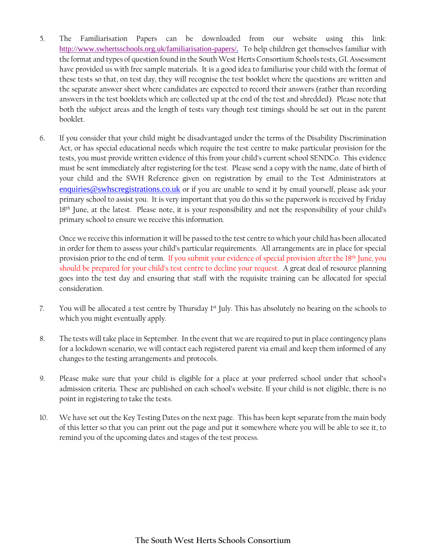- 5. The Familiarisation Papers can be downloaded from our website using this link: [http://www.swhertsschools.org.uk/familiarisation-papers/.](http://www.swhertsschools.org.uk/familiarisation-papers/) To help children get themselves familiar with the format and types of question found in the South West Herts Consortium Schools tests, GL Assessment have provided us with free sample materials. It is a good idea to familiarise your child with the format of these tests so that, on test day, they will recognise the test booklet where the questions are written and the separate answer sheet where candidates are expected to record their answers (rather than recording answers in the test booklets which are collected up at the end of the test and shredded). Please note that both the subject areas and the length of tests vary though test timings should be set out in the parent booklet.
- 6. If you consider that your child might be disadvantaged under the terms of the Disability Discrimination Act, or has special educational needs which require the test centre to make particular provision for the tests, you must provide written evidence of this from your child's current school SENDCo. This evidence must be sent immediately after registering for the test. Please send a copy with the name, date of birth of your child and the SWH Reference given on registration by email to the Test Administrators at [enquiries@swhscregistrations.co.uk](mailto:enquiries@swhscregistrations.co.uk) or if you are unable to send it by email yourself, please ask your primary school to assist you. It is very important that you do this so the paperwork is received by Friday 18 th June, at the latest. Please note, it is your responsibility and not the responsibility of your child's primary school to ensure we receive this information.

Once we receive this information it will be passed to the test centre to which your child has been allocated in order for them to assess your child's particular requirements. All arrangements are in place for special provision prior to the end of term. If you submit your evidence of special provision after the 18<sup>th</sup> June, you should be prepared for your child's test centre to decline your request. A great deal of resource planning goes into the test day and ensuring that staff with the requisite training can be allocated for special consideration.

- 7. You will be allocated a test centre by Thursday 1<sup>st</sup> July. This has absolutely no bearing on the schools to which you might eventually apply.
- 8. The tests will take place in September. In the event that we are required to put in place contingency plans for a lockdown scenario, we will contact each registered parent via email and keep them informed of any changes to the testing arrangements and protocols.
- 9. Please make sure that your child is eligible for a place at your preferred school under that school's admission criteria. These are published on each school's website. If your child is not eligible, there is no point in registering to take the tests.
- 10. We have set out the Key Testing Dates on the next page. This has been kept separate from the main body of this letter so that you can print out the page and put it somewhere where you will be able to see it, to remind you of the upcoming dates and stages of the test process.